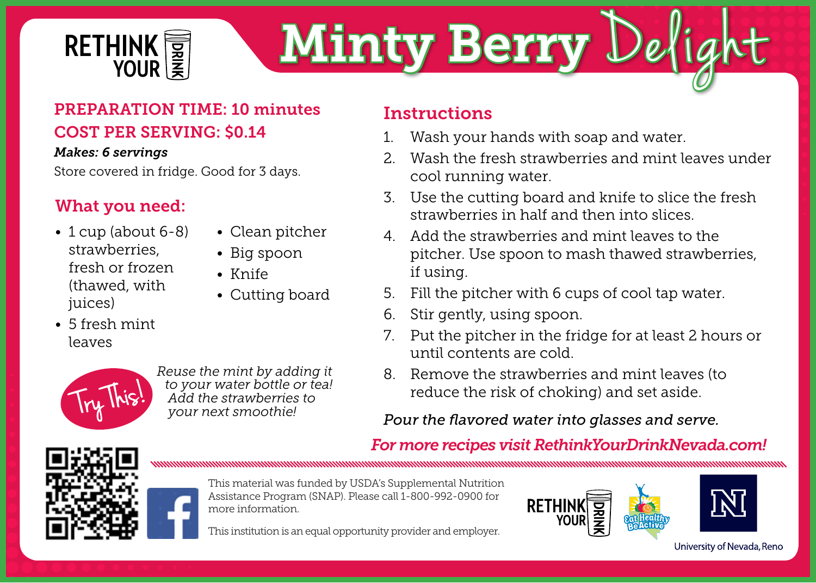

# Minty Berry Delig

# PREPARATION TIME: 10 minutes COST PER SERVING: \$0.14

### *Makes: 6 servings*

Store covered in fridge. Good for 3 days.

# What you need:

- 1 cup (about 6-8) strawberries, fresh or frozen (thawed, with juices)
- 5 fresh mint leaves
- 

*Reuse the mint by adding it to your water bottle or tea! Add the strawberries to your next smoothie!*

• Clean pitcher • Big spoon • Knife

• Cutting board

# **Instructions**

- 1. Wash your hands with soap and water.
- 2. Wash the fresh strawberries and mint leaves under cool running water.
- 3. Use the cutting board and knife to slice the fresh strawberries in half and then into slices.
- 4. Add the strawberries and mint leaves to the pitcher. Use spoon to mash thawed strawberries, if using.
- 5. Fill the pitcher with 6 cups of cool tap water.
- 6. Stir gently, using spoon.
- 7. Put the pitcher in the fridge for at least 2 hours or until contents are cold.
- 8. Remove the strawberries and mint leaves (to reduce the risk of choking) and set aside.

# *Pour the flavored water into glasses and serve.*

# *For more recipes visit RethinkYourDrinkNevada.com!*





This material was funded by USDA's Supplemental Nutrition Assistance Program (SNAP). Please call 1-800-992-0900 for more information.

This institution is an equal opportunity provider and employer.



University of Nevada, Reno